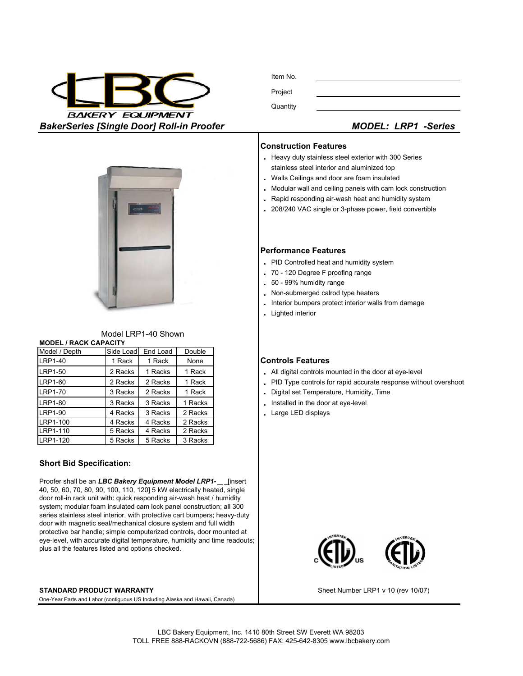

Item No. Project **Quantity** 

### **Construction Features**

- **.** Heavy duty stainless steel exterior with 300 Series
- stainless steel interior and aluminized top
- **.** Walls Ceilings and door are foam insulated
- **.** Modular wall and ceiling panels with cam lock construction
- **.** Rapid responding air-wash heat and humidity system **.** 208/240 VAC single or 3-phase power, field convertible

# **Performance Features**

- **.** PID Controlled heat and humidity system
- **.** 70 120 Degree F proofing range
- **.** 50 99% humidity range
- **.** Non-submerged calrod type heaters
- **.** Interior bumpers protect interior walls from damage
- **.** Lighted interior

## 1 Rack 1 Rack None **Controls Features**

- 2 Racks 1 Racks 1 Rack **1 Rack .** All digital controls mounted in the door at eye-level
- 2 Racks | 2 Racks | 1 Rack  $\vert$  **.** PID Type controls for rapid accurate response without overshoot
- 3 Racks 2 Racks 1 Rack **.** Digital set Temperature, Humidity, Time
	-
	-



LRP1-110 LRP1-100

LRP1-120

LRP1-40 LRP1-50 LRP1-60

LRP1-70 LRP1-80 LRP1-90

**MODEL / RACK CAPACITY**

Model / Depth Side Load End Load Double

Model LRP1-40 Shown

Proofer shall be an LBC Bakery Equipment Model LRP1[insert 40, 50, 60, 70, 80, 90, 100, 110, 120] 5 kW electrically heated, single door roll-in rack unit with: quick responding air-wash heat / humidity system; modular foam insulated cam lock panel construction; all 300 series stainless steel interior, with protective cart bumpers; heavy-duty door with magnetic seal/mechanical closure system and full width protective bar handle; simple computerized controls, door mounted at eye-level, with accurate digital temperature, humidity and time readouts; plus all the features listed and options checked.

#### **STANDARD PRODUCT WARRANTY**

One-Year Parts and Labor (contiguous US Including Alaska and Hawaii, Canada)



Sheet Number LRP1 v 10 (rev 10/07)